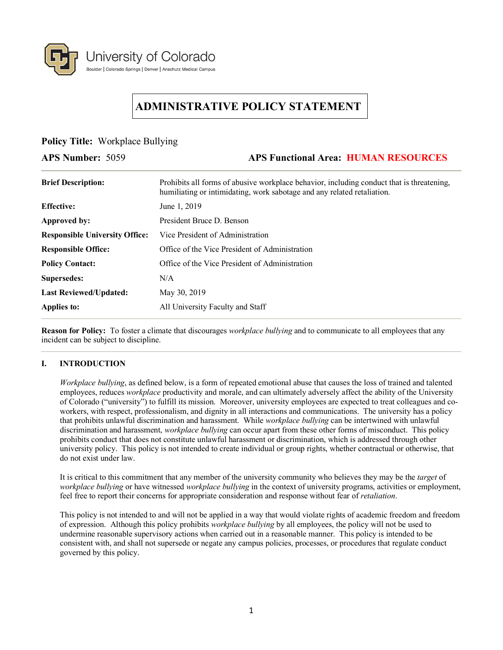

# **ADMINISTRATIVE POLICY STATEMENT**

**Policy Title:** Workplace Bullying

# **APS Number:** 5059 **APS Functional Area: HUMAN RESOURCES**

| <b>Brief Description:</b>             | Prohibits all forms of abusive workplace behavior, including conduct that is threatening,<br>humiliating or intimidating, work sabotage and any related retaliation. |
|---------------------------------------|----------------------------------------------------------------------------------------------------------------------------------------------------------------------|
| <b>Effective:</b>                     | June 1, 2019                                                                                                                                                         |
| Approved by:                          | President Bruce D. Benson                                                                                                                                            |
| <b>Responsible University Office:</b> | Vice President of Administration                                                                                                                                     |
| <b>Responsible Office:</b>            | Office of the Vice President of Administration                                                                                                                       |
| <b>Policy Contact:</b>                | Office of the Vice President of Administration                                                                                                                       |
| Supersedes:                           | N/A                                                                                                                                                                  |
| <b>Last Reviewed/Updated:</b>         | May 30, 2019                                                                                                                                                         |
| <b>Applies to:</b>                    | All University Faculty and Staff                                                                                                                                     |

**Reason for Policy:** To foster a climate that discourages *workplace bullying* and to communicate to all employees that any incident can be subject to discipline.

# **I. INTRODUCTION**

*Workplace bullying*, as defined below, is a form of repeated emotional abuse that causes the loss of trained and talented employees, reduces *workplace* productivity and morale, and can ultimately adversely affect the ability of the University of Colorado ("university") to fulfill its mission. Moreover, university employees are expected to treat colleagues and coworkers, with respect, professionalism, and dignity in all interactions and communications. The university has a policy that prohibits unlawful discrimination and harassment. While *workplace bullying* can be intertwined with unlawful discrimination and harassment, *workplace bullying* can occur apart from these other forms of misconduct. This policy prohibits conduct that does not constitute unlawful harassment or discrimination, which is addressed through other university policy. This policy is not intended to create individual or group rights, whether contractual or otherwise, that do not exist under law.

It is critical to this commitment that any member of the university community who believes they may be the *target* of *workplace bullying* or have witnessed *workplace bullying* in the context of university programs, activities or employment, feel free to report their concerns for appropriate consideration and response without fear of *retaliation*.

This policy is not intended to and will not be applied in a way that would violate rights of academic freedom and freedom of expression. Although this policy prohibits *workplace bullying* by all employees, the policy will not be used to undermine reasonable supervisory actions when carried out in a reasonable manner. This policy is intended to be consistent with, and shall not supersede or negate any campus policies, processes, or procedures that regulate conduct governed by this policy.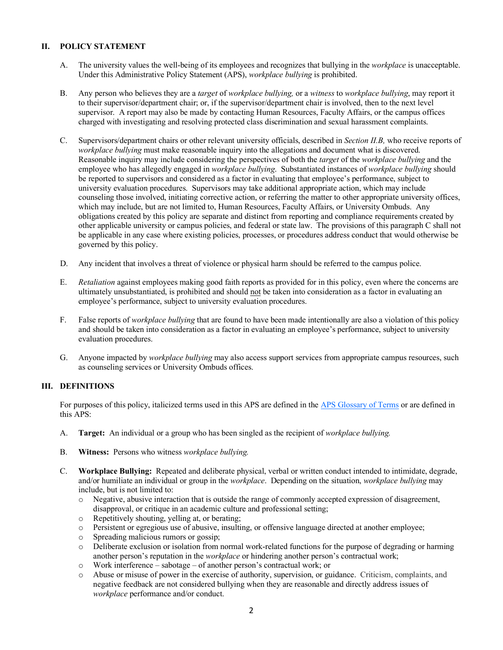#### **II. POLICY STATEMENT**

- A. The university values the well-being of its employees and recognizes that bullying in the *workplace* is unacceptable. Under this Administrative Policy Statement (APS), *workplace bullying* is prohibited.
- B. Any person who believes they are a *target* of *workplace bullying,* or a *witness* to *workplace bullying*, may report it to their supervisor/department chair; or, if the supervisor/department chair is involved, then to the next level supervisor. A report may also be made by contacting Human Resources, Faculty Affairs, or the campus offices charged with investigating and resolving protected class discrimination and sexual harassment complaints.
- C. Supervisors/department chairs or other relevant university officials, described in *Section II.B,* who receive reports of *workplace bullying* must make reasonable inquiry into the allegations and document what is discovered. Reasonable inquiry may include considering the perspectives of both the *target* of the *workplace bullying* and the employee who has allegedly engaged in *workplace bullying*. Substantiated instances of *workplace bullying* should be reported to supervisors and considered as a factor in evaluating that employee's performance, subject to university evaluation procedures. Supervisors may take additional appropriate action, which may include counseling those involved, initiating corrective action, or referring the matter to other appropriate university offices, which may include, but are not limited to, Human Resources, Faculty Affairs, or University Ombuds. Any obligations created by this policy are separate and distinct from reporting and compliance requirements created by other applicable university or campus policies, and federal or state law. The provisions of this paragraph C shall not be applicable in any case where existing policies, processes, or procedures address conduct that would otherwise be governed by this policy.
- D. Any incident that involves a threat of violence or physical harm should be referred to the campus police.
- E. *Retaliation* against employees making good faith reports as provided for in this policy, even where the concerns are ultimately unsubstantiated, is prohibited and should not be taken into consideration as a factor in evaluating an employee's performance, subject to university evaluation procedures.
- F. False reports of *workplace bullying* that are found to have been made intentionally are also a violation of this policy and should be taken into consideration as a factor in evaluating an employee's performance, subject to university evaluation procedures.
- G. Anyone impacted by *workplace bullying* may also access support services from appropriate campus resources, such as counseling services or University Ombuds offices.

# **III. DEFINITIONS**

For purposes of this policy, italicized terms used in this APS are defined in the [APS Glossary of Terms](https://www.cu.edu/ope/aps/glossary) or are defined in this APS:

- A. **Target:** An individual or a group who has been singled as the recipient of *workplace bullying.*
- B. **Witness:** Persons who witness *workplace bullying.*
- C. **Workplace Bullying:** Repeated and deliberate physical, verbal or written conduct intended to intimidate, degrade, and/or humiliate an individual or group in the *workplace*. Depending on the situation, *workplace bullying* may include, but is not limited to:
	- o Negative, abusive interaction that is outside the range of commonly accepted expression of disagreement, disapproval, or critique in an academic culture and professional setting;
	-
	- o Repetitively shouting, yelling at, or berating; Persistent or egregious use of abusive, insulting, or offensive language directed at another employee;
	- $\circ$  Spreading malicious rumors or gossip;<br> $\circ$  Deliberate exclusion or isolation from i
	- Deliberate exclusion or isolation from normal work-related functions for the purpose of degrading or harming another person's reputation in the *workplace* or hindering another person's contractual work;
	- $\circ$  Work interference sabotage of another person's contractual work; or  $\circ$  Abuse or misuse of power in the exercise of authority, supervision, or gu
	- Abuse or misuse of power in the exercise of authority, supervision, or guidance. Criticism, complaints, and negative feedback are not considered bullying when they are reasonable and directly address issues of *workplace* performance and/or conduct.